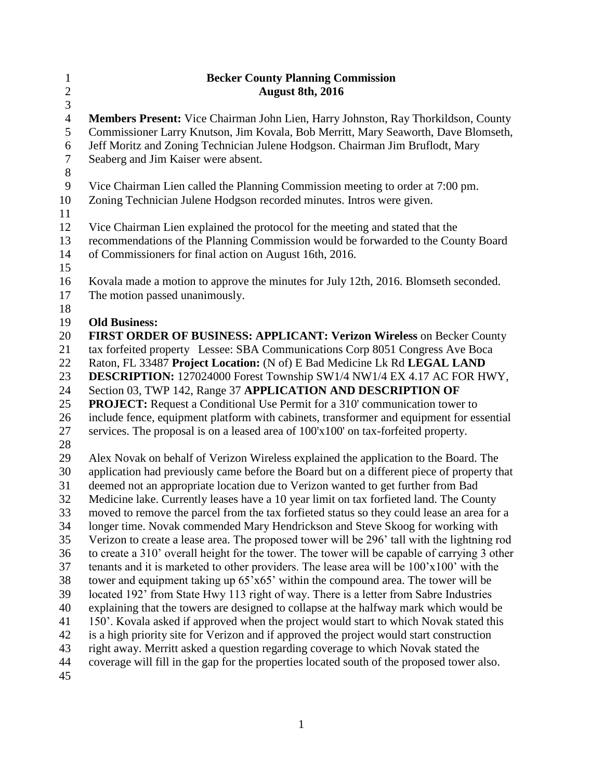| $\mathbf{1}$   | <b>Becker County Planning Commission</b>                                                                                                                                   |
|----------------|----------------------------------------------------------------------------------------------------------------------------------------------------------------------------|
| $\overline{c}$ | <b>August 8th, 2016</b>                                                                                                                                                    |
| $\overline{3}$ |                                                                                                                                                                            |
| $\overline{4}$ | Members Present: Vice Chairman John Lien, Harry Johnston, Ray Thorkildson, County                                                                                          |
| 5              | Commissioner Larry Knutson, Jim Kovala, Bob Merritt, Mary Seaworth, Dave Blomseth,                                                                                         |
| 6              | Jeff Moritz and Zoning Technician Julene Hodgson. Chairman Jim Bruflodt, Mary                                                                                              |
| $\tau$         | Seaberg and Jim Kaiser were absent.                                                                                                                                        |
| $\,8\,$        |                                                                                                                                                                            |
| 9              | Vice Chairman Lien called the Planning Commission meeting to order at 7:00 pm.                                                                                             |
| 10             | Zoning Technician Julene Hodgson recorded minutes. Intros were given.                                                                                                      |
| 11<br>12       |                                                                                                                                                                            |
| 13             | Vice Chairman Lien explained the protocol for the meeting and stated that the<br>recommendations of the Planning Commission would be forwarded to the County Board         |
| 14             | of Commissioners for final action on August 16th, 2016.                                                                                                                    |
| 15             |                                                                                                                                                                            |
| 16             | Kovala made a motion to approve the minutes for July 12th, 2016. Blomseth seconded.                                                                                        |
| 17             | The motion passed unanimously.                                                                                                                                             |
| 18             |                                                                                                                                                                            |
| 19             | <b>Old Business:</b>                                                                                                                                                       |
| 20             | FIRST ORDER OF BUSINESS: APPLICANT: Verizon Wireless on Becker County                                                                                                      |
| 21             | tax forfeited property Lessee: SBA Communications Corp 8051 Congress Ave Boca                                                                                              |
| 22             | Raton, FL 33487 Project Location: (N of) E Bad Medicine Lk Rd LEGAL LAND                                                                                                   |
| 23             | DESCRIPTION: 127024000 Forest Township SW1/4 NW1/4 EX 4.17 AC FOR HWY,                                                                                                     |
| 24             | Section 03, TWP 142, Range 37 APPLICATION AND DESCRIPTION OF                                                                                                               |
| 25             | <b>PROJECT:</b> Request a Conditional Use Permit for a 310' communication tower to                                                                                         |
| 26             | include fence, equipment platform with cabinets, transformer and equipment for essential                                                                                   |
| 27             | services. The proposal is on a leased area of 100'x100' on tax-forfeited property.                                                                                         |
| 28             |                                                                                                                                                                            |
| 29             | Alex Novak on behalf of Verizon Wireless explained the application to the Board. The                                                                                       |
| 30             | application had previously came before the Board but on a different piece of property that                                                                                 |
| 31<br>32       | deemed not an appropriate location due to Verizon wanted to get further from Bad<br>Medicine lake. Currently leases have a 10 year limit on tax forfieted land. The County |
| 33             | moved to remove the parcel from the tax forfieted status so they could lease an area for a                                                                                 |
| 34             | longer time. Novak commended Mary Hendrickson and Steve Skoog for working with                                                                                             |
| 35             | Verizon to create a lease area. The proposed tower will be 296' tall with the lightning rod                                                                                |
| 36             | to create a 310' overall height for the tower. The tower will be capable of carrying 3 other                                                                               |
| 37             | tenants and it is marketed to other providers. The lease area will be 100'x100' with the                                                                                   |
| 38             | tower and equipment taking up 65'x65' within the compound area. The tower will be                                                                                          |
| 39             | located 192' from State Hwy 113 right of way. There is a letter from Sabre Industries                                                                                      |
| 40             | explaining that the towers are designed to collapse at the halfway mark which would be                                                                                     |
| 41             | 150'. Kovala asked if approved when the project would start to which Novak stated this                                                                                     |
| 42             | is a high priority site for Verizon and if approved the project would start construction                                                                                   |
| 43             | right away. Merritt asked a question regarding coverage to which Novak stated the                                                                                          |
| 44             | coverage will fill in the gap for the properties located south of the proposed tower also.                                                                                 |
| 45             |                                                                                                                                                                            |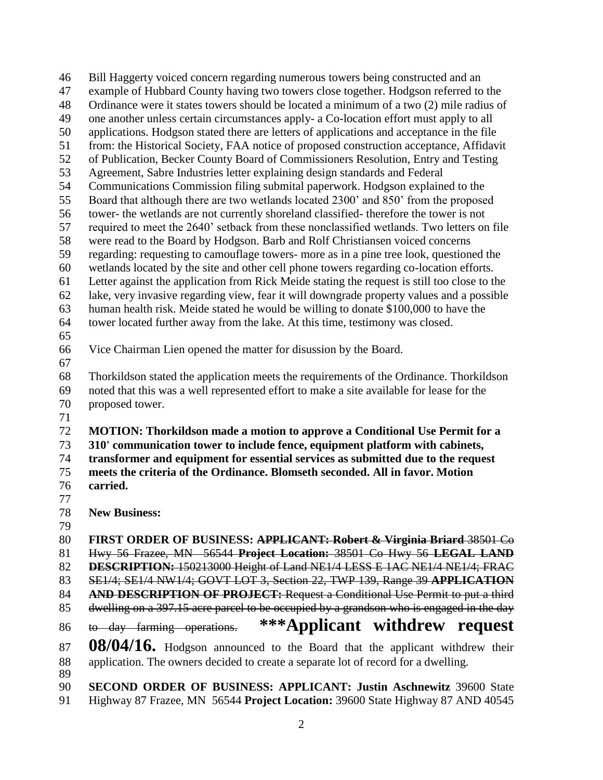Bill Haggerty voiced concern regarding numerous towers being constructed and an example of Hubbard County having two towers close together. Hodgson referred to the Ordinance were it states towers should be located a minimum of a two (2) mile radius of one another unless certain circumstances apply- a Co-location effort must apply to all applications. Hodgson stated there are letters of applications and acceptance in the file from: the Historical Society, FAA notice of proposed construction acceptance, Affidavit of Publication, Becker County Board of Commissioners Resolution, Entry and Testing Agreement, Sabre Industries letter explaining design standards and Federal Communications Commission filing submital paperwork. Hodgson explained to the Board that although there are two wetlands located 2300' and 850' from the proposed tower- the wetlands are not currently shoreland classified- therefore the tower is not required to meet the 2640' setback from these nonclassified wetlands. Two letters on file were read to the Board by Hodgson. Barb and Rolf Christiansen voiced concerns regarding: requesting to camouflage towers- more as in a pine tree look, questioned the wetlands located by the site and other cell phone towers regarding co-location efforts. Letter against the application from Rick Meide stating the request is still too close to the lake, very invasive regarding view, fear it will downgrade property values and a possible human health risk. Meide stated he would be willing to donate \$100,000 to have the tower located further away from the lake. At this time, testimony was closed. Vice Chairman Lien opened the matter for disussion by the Board. Thorkildson stated the application meets the requirements of the Ordinance. Thorkildson noted that this was a well represented effort to make a site available for lease for the proposed tower. **MOTION: Thorkildson made a motion to approve a Conditional Use Permit for a 310' communication tower to include fence, equipment platform with cabinets, transformer and equipment for essential services as submitted due to the request meets the criteria of the Ordinance. Blomseth seconded. All in favor. Motion carried. New Business: FIRST ORDER OF BUSINESS: APPLICANT: Robert & Virginia Briard** 38501 Co Hwy 56 Frazee, MN 56544 **Project Location:** 38501 Co Hwy 56 **LEGAL LAND DESCRIPTION:** 150213000 Height of Land NE1/4 LESS E 1AC NE1/4 NE1/4; FRAC SE1/4; SE1/4 NW1/4; GOVT LOT 3, Section 22, TWP 139, Range 39 **APPLICATION AND DESCRIPTION OF PROJECT:** Request a Conditional Use Permit to put a third dwelling on a 397.15 acre parcel to be occupied by a grandson who is engaged in the day to day farming operations. **\*\*\*Applicant withdrew request 08/04/16.** Hodgson announced to the Board that the applicant withdrew their application. The owners decided to create a separate lot of record for a dwelling. **SECOND ORDER OF BUSINESS: APPLICANT: Justin Aschnewitz** 39600 State Highway 87 Frazee, MN 56544 **Project Location:** 39600 State Highway 87 AND 40545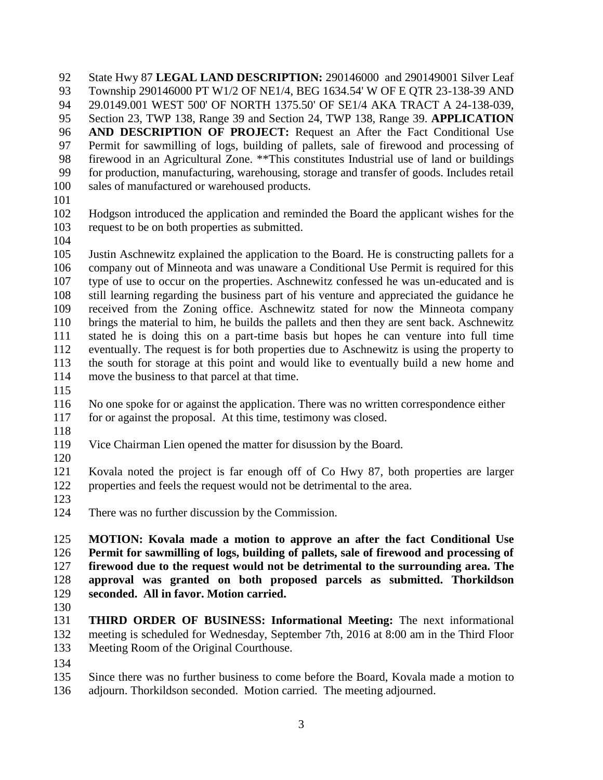State Hwy 87 **LEGAL LAND DESCRIPTION:** 290146000 and 290149001 Silver Leaf Township 290146000 PT W1/2 OF NE1/4, BEG 1634.54' W OF E QTR 23-138-39 AND 29.0149.001 WEST 500' OF NORTH 1375.50' OF SE1/4 AKA TRACT A 24-138-039, Section 23, TWP 138, Range 39 and Section 24, TWP 138, Range 39. **APPLICATION AND DESCRIPTION OF PROJECT:** Request an After the Fact Conditional Use Permit for sawmilling of logs, building of pallets, sale of firewood and processing of firewood in an Agricultural Zone. \*\*This constitutes Industrial use of land or buildings for production, manufacturing, warehousing, storage and transfer of goods. Includes retail sales of manufactured or warehoused products.

- 
- Hodgson introduced the application and reminded the Board the applicant wishes for the request to be on both properties as submitted.
- 

 Justin Aschnewitz explained the application to the Board. He is constructing pallets for a company out of Minneota and was unaware a Conditional Use Permit is required for this type of use to occur on the properties. Aschnewitz confessed he was un-educated and is still learning regarding the business part of his venture and appreciated the guidance he received from the Zoning office. Aschnewitz stated for now the Minneota company brings the material to him, he builds the pallets and then they are sent back. Aschnewitz stated he is doing this on a part-time basis but hopes he can venture into full time eventually. The request is for both properties due to Aschnewitz is using the property to the south for storage at this point and would like to eventually build a new home and move the business to that parcel at that time.

 No one spoke for or against the application. There was no written correspondence either for or against the proposal. At this time, testimony was closed.

- 
- Vice Chairman Lien opened the matter for disussion by the Board.
- 

 Kovala noted the project is far enough off of Co Hwy 87, both properties are larger properties and feels the request would not be detrimental to the area.

- 
- There was no further discussion by the Commission.

 **MOTION: Kovala made a motion to approve an after the fact Conditional Use Permit for sawmilling of logs, building of pallets, sale of firewood and processing of firewood due to the request would not be detrimental to the surrounding area. The approval was granted on both proposed parcels as submitted. Thorkildson seconded. All in favor. Motion carried.** 

 **THIRD ORDER OF BUSINESS: Informational Meeting:** The next informational meeting is scheduled for Wednesday, September 7th, 2016 at 8:00 am in the Third Floor Meeting Room of the Original Courthouse.

Since there was no further business to come before the Board, Kovala made a motion to

adjourn. Thorkildson seconded. Motion carried. The meeting adjourned.